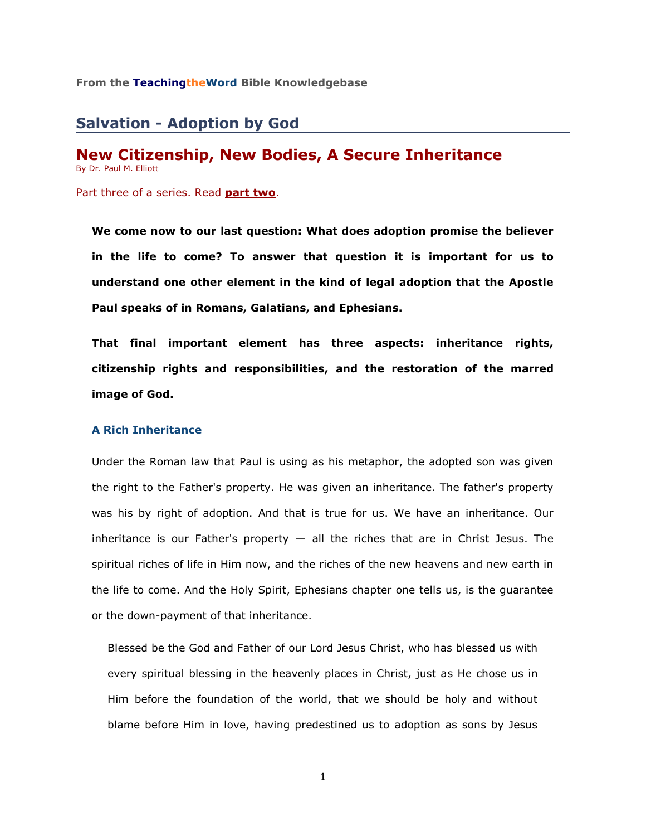# **Salvation - Adoption by God**

#### **New Citizenship, New Bodies, A Secure Inheritance** By Dr. Paul M. Elliott

Part three of a series. Read **[part two](http://www.teachingtheword.org/articles_view.asp?columnid=5774&articleid=59275)**.

**We come now to our last question: What does adoption promise the believer in the life to come? To answer that question it is important for us to understand one other element in the kind of legal adoption that the Apostle Paul speaks of in Romans, Galatians, and Ephesians.** 

**That final important element has three aspects: inheritance rights, citizenship rights and responsibilities, and the restoration of the marred image of God.** 

## **A Rich Inheritance**

Under the Roman law that Paul is using as his metaphor, the adopted son was given the right to the Father's property. He was given an inheritance. The father's property was his by right of adoption. And that is true for us. We have an inheritance. Our inheritance is our Father's property  $-$  all the riches that are in Christ Jesus. The spiritual riches of life in Him now, and the riches of the new heavens and new earth in the life to come. And the Holy Spirit, Ephesians chapter one tells us, is the guarantee or the down-payment of that inheritance.

Blessed be the God and Father of our Lord Jesus Christ, who has blessed us with every spiritual blessing in the heavenly places in Christ, just as He chose us in Him before the foundation of the world, that we should be holy and without blame before Him in love, having predestined us to adoption as sons by Jesus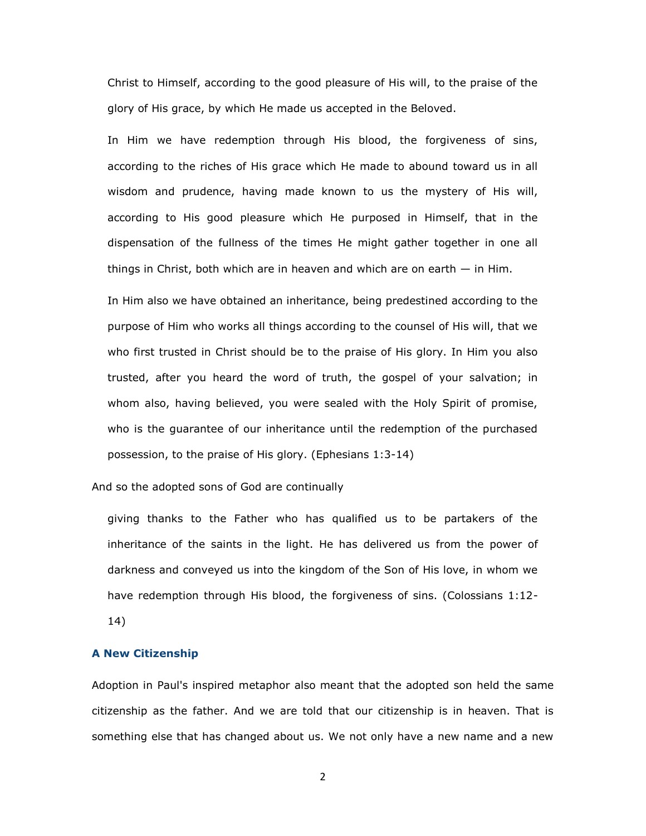Christ to Himself, according to the good pleasure of His will, to the praise of the glory of His grace, by which He made us accepted in the Beloved.

In Him we have redemption through His blood, the forgiveness of sins, according to the riches of His grace which He made to abound toward us in all wisdom and prudence, having made known to us the mystery of His will, according to His good pleasure which He purposed in Himself, that in the dispensation of the fullness of the times He might gather together in one all things in Christ, both which are in heaven and which are on earth — in Him.

In Him also we have obtained an inheritance, being predestined according to the purpose of Him who works all things according to the counsel of His will, that we who first trusted in Christ should be to the praise of His glory. In Him you also trusted, after you heard the word of truth, the gospel of your salvation; in whom also, having believed, you were sealed with the Holy Spirit of promise, who is the guarantee of our inheritance until the redemption of the purchased possession, to the praise of His glory. (Ephesians 1:3-14)

And so the adopted sons of God are continually

giving thanks to the Father who has qualified us to be partakers of the inheritance of the saints in the light. He has delivered us from the power of darkness and conveyed us into the kingdom of the Son of His love, in whom we have redemption through His blood, the forgiveness of sins. (Colossians 1:12-

14)

#### **A New Citizenship**

Adoption in Paul's inspired metaphor also meant that the adopted son held the same citizenship as the father. And we are told that our citizenship is in heaven. That is something else that has changed about us. We not only have a new name and a new

2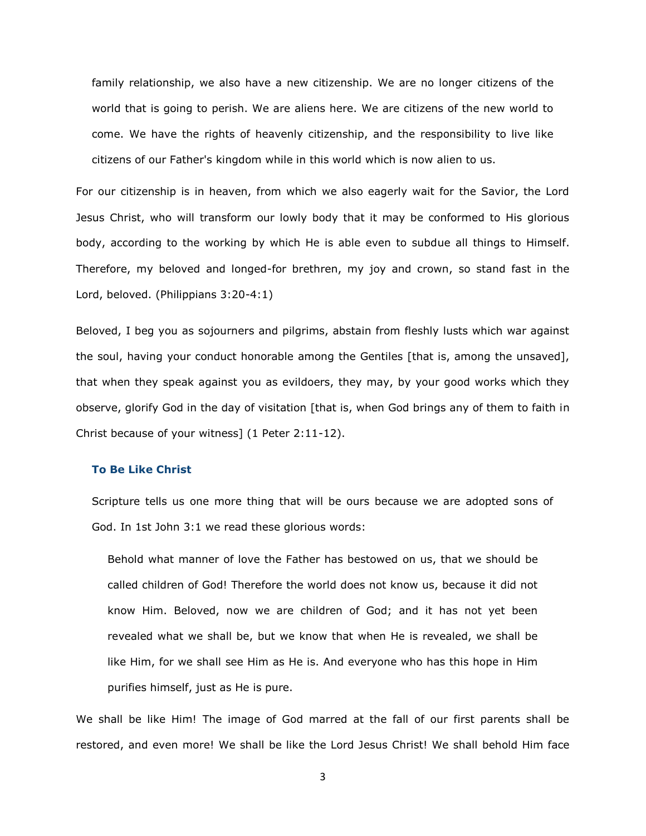family relationship, we also have a new citizenship. We are no longer citizens of the world that is going to perish. We are aliens here. We are citizens of the new world to come. We have the rights of heavenly citizenship, and the responsibility to live like citizens of our Father's kingdom while in this world which is now alien to us.

For our citizenship is in heaven, from which we also eagerly wait for the Savior, the Lord Jesus Christ, who will transform our lowly body that it may be conformed to His glorious body, according to the working by which He is able even to subdue all things to Himself. Therefore, my beloved and longed-for brethren, my joy and crown, so stand fast in the Lord, beloved. (Philippians 3:20-4:1)

Beloved, I beg you as sojourners and pilgrims, abstain from fleshly lusts which war against the soul, having your conduct honorable among the Gentiles [that is, among the unsaved], that when they speak against you as evildoers, they may, by your good works which they observe, glorify God in the day of visitation [that is, when God brings any of them to faith in Christ because of your witness] (1 Peter 2:11-12).

## **To Be Like Christ**

Scripture tells us one more thing that will be ours because we are adopted sons of God. In 1st John 3:1 we read these glorious words:

Behold what manner of love the Father has bestowed on us, that we should be called children of God! Therefore the world does not know us, because it did not know Him. Beloved, now we are children of God; and it has not yet been revealed what we shall be, but we know that when He is revealed, we shall be like Him, for we shall see Him as He is. And everyone who has this hope in Him purifies himself, just as He is pure.

We shall be like Him! The image of God marred at the fall of our first parents shall be restored, and even more! We shall be like the Lord Jesus Christ! We shall behold Him face

3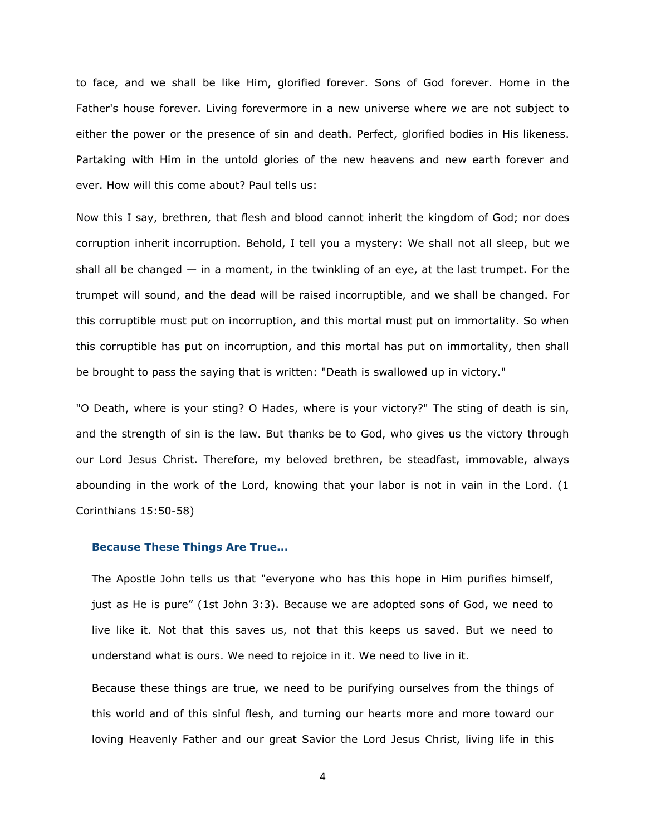to face, and we shall be like Him, glorified forever. Sons of God forever. Home in the Father's house forever. Living forevermore in a new universe where we are not subject to either the power or the presence of sin and death. Perfect, glorified bodies in His likeness. Partaking with Him in the untold glories of the new heavens and new earth forever and ever. How will this come about? Paul tells us:

Now this I say, brethren, that flesh and blood cannot inherit the kingdom of God; nor does corruption inherit incorruption. Behold, I tell you a mystery: We shall not all sleep, but we shall all be changed  $-$  in a moment, in the twinkling of an eye, at the last trumpet. For the trumpet will sound, and the dead will be raised incorruptible, and we shall be changed. For this corruptible must put on incorruption, and this mortal must put on immortality. So when this corruptible has put on incorruption, and this mortal has put on immortality, then shall be brought to pass the saying that is written: "Death is swallowed up in victory."

"O Death, where is your sting? O Hades, where is your victory?" The sting of death is sin, and the strength of sin is the law. But thanks be to God, who gives us the victory through our Lord Jesus Christ. Therefore, my beloved brethren, be steadfast, immovable, always abounding in the work of the Lord, knowing that your labor is not in vain in the Lord. (1 Corinthians 15:50-58)

#### **Because These Things Are True...**

The Apostle John tells us that "everyone who has this hope in Him purifies himself, just as He is pure" (1st John 3:3). Because we are adopted sons of God, we need to live like it. Not that this saves us, not that this keeps us saved. But we need to understand what is ours. We need to rejoice in it. We need to live in it.

Because these things are true, we need to be purifying ourselves from the things of this world and of this sinful flesh, and turning our hearts more and more toward our loving Heavenly Father and our great Savior the Lord Jesus Christ, living life in this

4